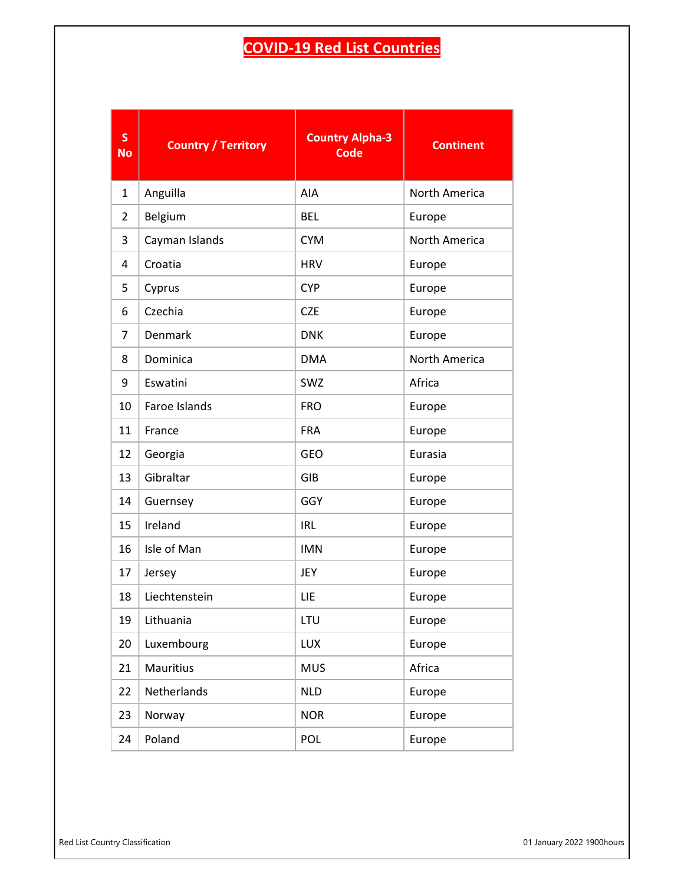## COVID-19 Red List Countries

| $\mathsf{s}$<br><b>No</b> | <b>Country / Territory</b> | <b>Country Alpha-3</b><br><b>Code</b> | <b>Continent</b> |
|---------------------------|----------------------------|---------------------------------------|------------------|
| 1                         | Anguilla                   | AIA                                   | North America    |
| $\overline{2}$            | Belgium                    | <b>BEL</b>                            | Europe           |
| 3                         | Cayman Islands             | <b>CYM</b>                            | North America    |
| 4                         | Croatia                    | <b>HRV</b>                            | Europe           |
| 5                         | Cyprus                     | <b>CYP</b>                            | Europe           |
| 6                         | Czechia                    | <b>CZE</b>                            | Europe           |
| 7                         | Denmark                    | <b>DNK</b>                            | Europe           |
| 8                         | Dominica                   | <b>DMA</b>                            | North America    |
| 9                         | Eswatini                   | SWZ                                   | Africa           |
| 10                        | Faroe Islands              | <b>FRO</b>                            | Europe           |
| 11                        | France                     | <b>FRA</b>                            | Europe           |
| 12                        | Georgia                    | GEO                                   | Eurasia          |
| 13                        | Gibraltar                  | GIB                                   | Europe           |
| 14                        | Guernsey                   | GGY                                   | Europe           |
| 15                        | Ireland                    | <b>IRL</b>                            | Europe           |
| 16                        | Isle of Man                | <b>IMN</b>                            | Europe           |
| 17                        | Jersey                     | JEY                                   | Europe           |
| 18                        | Liechtenstein              | LIE                                   | Europe           |
| 19                        | Lithuania                  | LTU                                   | Europe           |
| 20                        | Luxembourg                 | <b>LUX</b>                            | Europe           |
| 21                        | Mauritius                  | <b>MUS</b>                            | Africa           |
| 22                        | Netherlands                | <b>NLD</b>                            | Europe           |
| 23                        | Norway                     | <b>NOR</b>                            | Europe           |
| 24                        | Poland                     | POL                                   | Europe           |